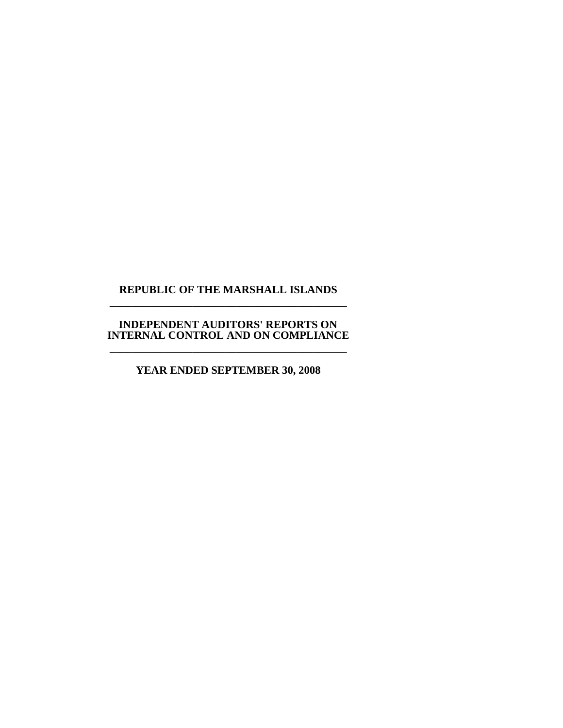# **REPUBLIC OF THE MARSHALL ISLANDS**  \_\_\_\_\_\_\_\_\_\_\_\_\_\_\_\_\_\_\_\_\_\_\_\_\_\_\_\_\_\_\_\_\_\_\_\_\_\_\_\_\_\_\_

### **INDEPENDENT AUDITORS' REPORTS ON INTERNAL CONTROL AND ON COMPLIANCE**  \_\_\_\_\_\_\_\_\_\_\_\_\_\_\_\_\_\_\_\_\_\_\_\_\_\_\_\_\_\_\_\_\_\_\_\_\_\_\_\_\_\_\_

**YEAR ENDED SEPTEMBER 30, 2008**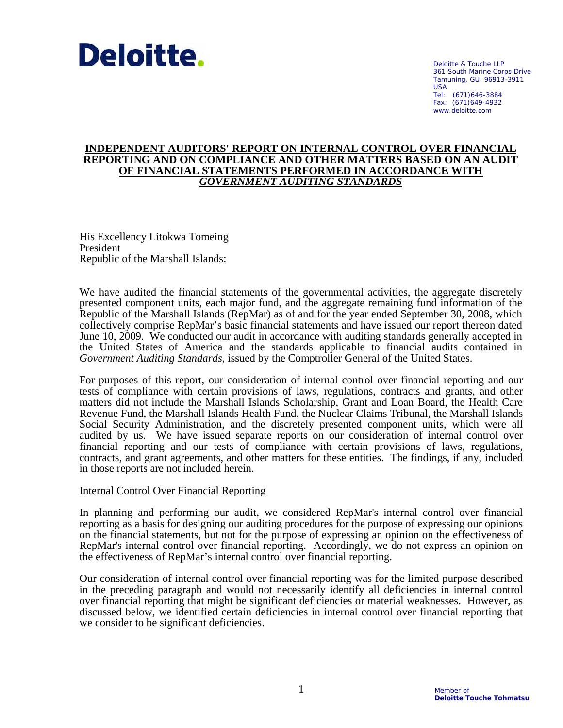

Deloitte & Touche LLP 361 South Marine Corps Drive Tamuning, GU 96913-3911 USA Tel: (671)646-3884 Fax: (671)649-4932 www.deloitte.com

#### **INDEPENDENT AUDITORS' REPORT ON INTERNAL CONTROL OVER FINANCIAL REPORTING AND ON COMPLIANCE AND OTHER MATTERS BASED ON AN AUDIT OF FINANCIAL STATEMENTS PERFORMED IN ACCORDANCE WITH** *GOVERNMENT AUDITING STANDARDS*

His Excellency Litokwa Tomeing President Republic of the Marshall Islands:

We have audited the financial statements of the governmental activities, the aggregate discretely presented component units, each major fund, and the aggregate remaining fund information of the Republic of the Marshall Islands (RepMar) as of and for the year ended September 30, 2008, which collectively comprise RepMar's basic financial statements and have issued our report thereon dated June 10, 2009. We conducted our audit in accordance with auditing standards generally accepted in the United States of America and the standards applicable to financial audits contained in *Government Auditing Standards*, issued by the Comptroller General of the United States.

For purposes of this report, our consideration of internal control over financial reporting and our tests of compliance with certain provisions of laws, regulations, contracts and grants, and other matters did not include the Marshall Islands Scholarship, Grant and Loan Board, the Health Care Revenue Fund, the Marshall Islands Health Fund, the Nuclear Claims Tribunal, the Marshall Islands Social Security Administration, and the discretely presented component units, which were all audited by us. We have issued separate reports on our consideration of internal control over financial reporting and our tests of compliance with certain provisions of laws, regulations, contracts, and grant agreements, and other matters for these entities. The findings, if any, included in those reports are not included herein.

#### Internal Control Over Financial Reporting

In planning and performing our audit, we considered RepMar's internal control over financial reporting as a basis for designing our auditing procedures for the purpose of expressing our opinions on the financial statements, but not for the purpose of expressing an opinion on the effectiveness of RepMar's internal control over financial reporting. Accordingly, we do not express an opinion on the effectiveness of RepMar's internal control over financial reporting.

Our consideration of internal control over financial reporting was for the limited purpose described in the preceding paragraph and would not necessarily identify all deficiencies in internal control over financial reporting that might be significant deficiencies or material weaknesses. However, as discussed below, we identified certain deficiencies in internal control over financial reporting that we consider to be significant deficiencies.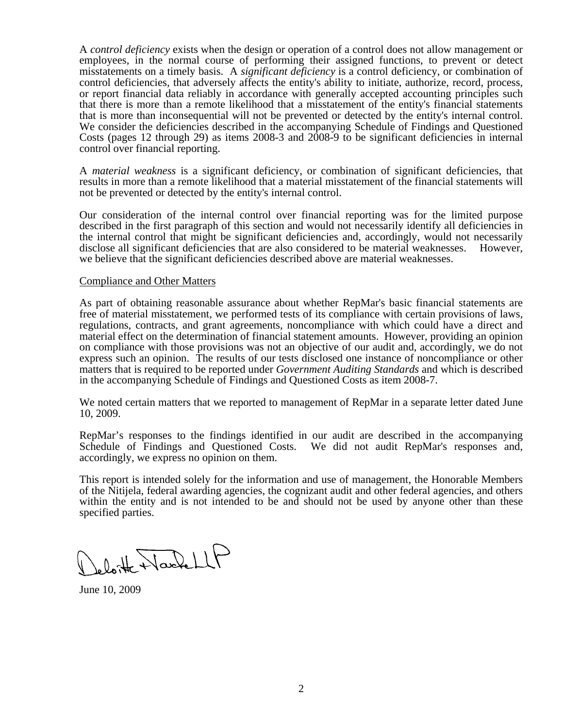A *control deficiency* exists when the design or operation of a control does not allow management or employees, in the normal course of performing their assigned functions, to prevent or detect misstatements on a timely basis. A *significant deficiency* is a control deficiency, or combination of control deficiencies, that adversely affects the entity's ability to initiate, authorize, record, process, or report financial data reliably in accordance with generally accepted accounting principles such that there is more than a remote likelihood that a misstatement of the entity's financial statements that is more than inconsequential will not be prevented or detected by the entity's internal control. We consider the deficiencies described in the accompanying Schedule of Findings and Questioned Costs (pages 12 through 29) as items 2008-3 and 2008-9 to be significant deficiencies in internal control over financial reporting.

A *material weakness* is a significant deficiency, or combination of significant deficiencies, that results in more than a remote likelihood that a material misstatement of the financial statements will not be prevented or detected by the entity's internal control.

Our consideration of the internal control over financial reporting was for the limited purpose described in the first paragraph of this section and would not necessarily identify all deficiencies in the internal control that might be significant deficiencies and, accordingly, would not necessarily disclose all significant deficiencies that are also considered to be material weaknesses. However, we believe that the significant deficiencies described above are material weaknesses.

#### Compliance and Other Matters

As part of obtaining reasonable assurance about whether RepMar's basic financial statements are free of material misstatement, we performed tests of its compliance with certain provisions of laws, regulations, contracts, and grant agreements, noncompliance with which could have a direct and material effect on the determination of financial statement amounts. However, providing an opinion on compliance with those provisions was not an objective of our audit and, accordingly, we do not express such an opinion. The results of our tests disclosed one instance of noncompliance or other matters that is required to be reported under *Government Auditing Standards* and which is described in the accompanying Schedule of Findings and Questioned Costs as item 2008-7.

We noted certain matters that we reported to management of RepMar in a separate letter dated June 10, 2009.

RepMar's responses to the findings identified in our audit are described in the accompanying Schedule of Findings and Questioned Costs. We did not audit RepMar's responses and, accordingly, we express no opinion on them.

This report is intended solely for the information and use of management, the Honorable Members of the Nitijela, federal awarding agencies, the cognizant audit and other federal agencies, and others within the entity and is not intended to be and should not be used by anyone other than these specified parties.

Jeloitte WackellP

June 10, 2009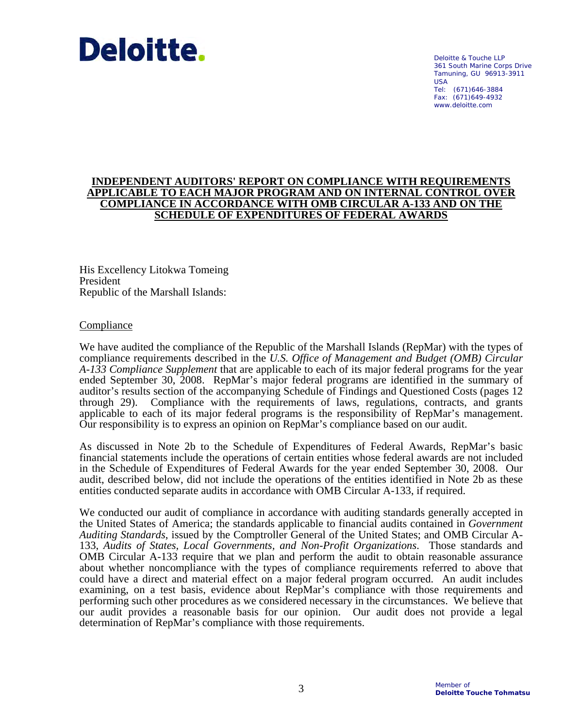# **Deloitte**.

Deloitte & Touche LLP 361 South Marine Corps Drive Tamuning, GU 96913-3911 USA Tel: (671)646-3884 Fax: (671)649-4932 www.deloitte.com

#### **INDEPENDENT AUDITORS' REPORT ON COMPLIANCE WITH REQUIREMENTS APPLICABLE TO EACH MAJOR PROGRAM AND ON INTERNAL CONTROL OVER COMPLIANCE IN ACCORDANCE WITH OMB CIRCULAR A-133 AND ON THE SCHEDULE OF EXPENDITURES OF FEDERAL AWARDS**

His Excellency Litokwa Tomeing President Republic of the Marshall Islands:

## **Compliance**

We have audited the compliance of the Republic of the Marshall Islands (RepMar) with the types of compliance requirements described in the *U.S. Office of Management and Budget (OMB) Circular A-133 Compliance Supplement* that are applicable to each of its major federal programs for the year ended September 30, 2008. RepMar's major federal programs are identified in the summary of auditor's results section of the accompanying Schedule of Findings and Questioned Costs (pages 12 through 29). Compliance with the requirements of laws, regulations, contracts, and grants applicable to each of its major federal programs is the responsibility of RepMar's management. Our responsibility is to express an opinion on RepMar's compliance based on our audit.

As discussed in Note 2b to the Schedule of Expenditures of Federal Awards, RepMar's basic financial statements include the operations of certain entities whose federal awards are not included in the Schedule of Expenditures of Federal Awards for the year ended September 30, 2008. Our audit, described below, did not include the operations of the entities identified in Note 2b as these entities conducted separate audits in accordance with OMB Circular A-133, if required.

We conducted our audit of compliance in accordance with auditing standards generally accepted in the United States of America; the standards applicable to financial audits contained in *Government Auditing Standards*, issued by the Comptroller General of the United States; and OMB Circular A-133, *Audits of States, Local Governments, and Non-Profit Organizations*. Those standards and OMB Circular A-133 require that we plan and perform the audit to obtain reasonable assurance about whether noncompliance with the types of compliance requirements referred to above that could have a direct and material effect on a major federal program occurred. An audit includes examining, on a test basis, evidence about RepMar's compliance with those requirements and performing such other procedures as we considered necessary in the circumstances. We believe that our audit provides a reasonable basis for our opinion. Our audit does not provide a legal determination of RepMar's compliance with those requirements.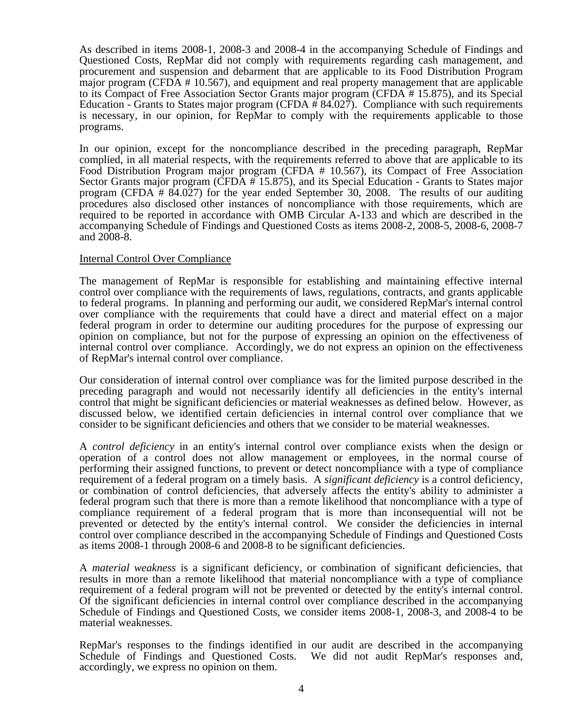As described in items 2008-1, 2008-3 and 2008-4 in the accompanying Schedule of Findings and Questioned Costs, RepMar did not comply with requirements regarding cash management, and procurement and suspension and debarment that are applicable to its Food Distribution Program major program (CFDA # 10.567), and equipment and real property management that are applicable to its Compact of Free Association Sector Grants major program (CFDA # 15.875), and its Special Education - Grants to States major program (CFDA # 84.027). Compliance with such requirements is necessary, in our opinion, for RepMar to comply with the requirements applicable to those programs.

In our opinion, except for the noncompliance described in the preceding paragraph, RepMar complied, in all material respects, with the requirements referred to above that are applicable to its Food Distribution Program major program (CFDA # 10.567), its Compact of Free Association Sector Grants major program (CFDA # 15.875), and its Special Education - Grants to States major program (CFDA # 84.027) for the year ended September 30, 2008. The results of our auditing procedures also disclosed other instances of noncompliance with those requirements, which are required to be reported in accordance with OMB Circular A-133 and which are described in the accompanying Schedule of Findings and Questioned Costs as items 2008-2, 2008-5, 2008-6, 2008-7 and 2008-8.

#### Internal Control Over Compliance

The management of RepMar is responsible for establishing and maintaining effective internal control over compliance with the requirements of laws, regulations, contracts, and grants applicable to federal programs. In planning and performing our audit, we considered RepMar's internal control over compliance with the requirements that could have a direct and material effect on a major federal program in order to determine our auditing procedures for the purpose of expressing our opinion on compliance, but not for the purpose of expressing an opinion on the effectiveness of internal control over compliance. Accordingly, we do not express an opinion on the effectiveness of RepMar's internal control over compliance.

Our consideration of internal control over compliance was for the limited purpose described in the preceding paragraph and would not necessarily identify all deficiencies in the entity's internal control that might be significant deficiencies or material weaknesses as defined below. However, as discussed below, we identified certain deficiencies in internal control over compliance that we consider to be significant deficiencies and others that we consider to be material weaknesses.

A *control deficiency* in an entity's internal control over compliance exists when the design or operation of a control does not allow management or employees, in the normal course of performing their assigned functions, to prevent or detect noncompliance with a type of compliance requirement of a federal program on a timely basis. A *significant deficiency* is a control deficiency, or combination of control deficiencies, that adversely affects the entity's ability to administer a federal program such that there is more than a remote likelihood that noncompliance with a type of compliance requirement of a federal program that is more than inconsequential will not be prevented or detected by the entity's internal control. We consider the deficiencies in internal control over compliance described in the accompanying Schedule of Findings and Questioned Costs as items 2008-1 through 2008-6 and 2008-8 to be significant deficiencies.

A *material weakness* is a significant deficiency, or combination of significant deficiencies, that results in more than a remote likelihood that material noncompliance with a type of compliance requirement of a federal program will not be prevented or detected by the entity's internal control. Of the significant deficiencies in internal control over compliance described in the accompanying Schedule of Findings and Questioned Costs, we consider items 2008-1, 2008-3, and 2008-4 to be material weaknesses.

RepMar's responses to the findings identified in our audit are described in the accompanying Schedule of Findings and Questioned Costs. We did not audit RepMar's responses and, accordingly, we express no opinion on them.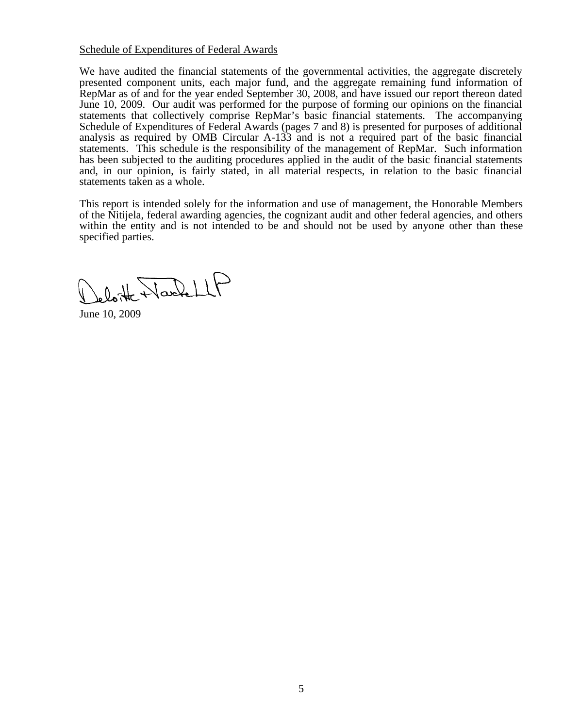#### Schedule of Expenditures of Federal Awards

We have audited the financial statements of the governmental activities, the aggregate discretely presented component units, each major fund, and the aggregate remaining fund information of RepMar as of and for the year ended September 30, 2008, and have issued our report thereon dated June 10, 2009. Our audit was performed for the purpose of forming our opinions on the financial statements that collectively comprise RepMar's basic financial statements. The accompanying Schedule of Expenditures of Federal Awards (pages 7 and 8) is presented for purposes of additional analysis as required by OMB Circular A-133 and is not a required part of the basic financial statements. This schedule is the responsibility of the management of RepMar. Such information has been subjected to the auditing procedures applied in the audit of the basic financial statements and, in our opinion, is fairly stated, in all material respects, in relation to the basic financial statements taken as a whole.

This report is intended solely for the information and use of management, the Honorable Members of the Nitijela, federal awarding agencies, the cognizant audit and other federal agencies, and others within the entity and is not intended to be and should not be used by anyone other than these specified parties.

Jeloitte NarbellP

June 10, 2009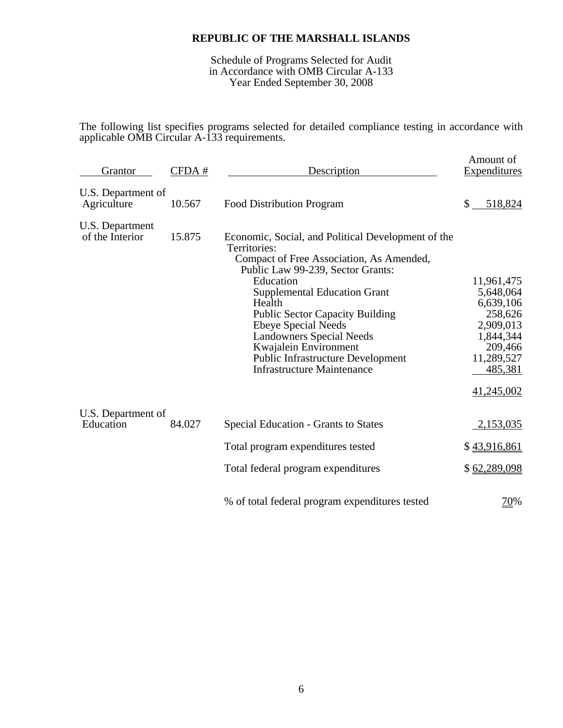Schedule of Programs Selected for Audit in Accordance with OMB Circular A-133 Year Ended September 30, 2008

The following list specifies programs selected for detailed compliance testing in accordance with applicable OMB Circular A-133 requirements.

| Grantor                            | CFDA#  | Description                                                                                                                                                                                                                                                                                                                                                                                                                            | Amount of<br><b>Expenditures</b>                                                                              |
|------------------------------------|--------|----------------------------------------------------------------------------------------------------------------------------------------------------------------------------------------------------------------------------------------------------------------------------------------------------------------------------------------------------------------------------------------------------------------------------------------|---------------------------------------------------------------------------------------------------------------|
| U.S. Department of<br>Agriculture  | 10.567 | <b>Food Distribution Program</b>                                                                                                                                                                                                                                                                                                                                                                                                       | \$<br>518,824                                                                                                 |
| U.S. Department<br>of the Interior | 15.875 | Economic, Social, and Political Development of the<br>Territories:<br>Compact of Free Association, As Amended,<br>Public Law 99-239, Sector Grants:<br>Education<br><b>Supplemental Education Grant</b><br>Health<br><b>Public Sector Capacity Building</b><br><b>Ebeye Special Needs</b><br><b>Landowners Special Needs</b><br>Kwajalein Environment<br><b>Public Infrastructure Development</b><br><b>Infrastructure Maintenance</b> | 11,961,475<br>5,648,064<br>6,639,106<br>258,626<br>2,909,013<br>1,844,344<br>209,466<br>11,289,527<br>485,381 |
|                                    |        |                                                                                                                                                                                                                                                                                                                                                                                                                                        | 41,245,002                                                                                                    |
| U.S. Department of<br>Education    | 84.027 | Special Education - Grants to States                                                                                                                                                                                                                                                                                                                                                                                                   | 2,153,035                                                                                                     |
|                                    |        | Total program expenditures tested                                                                                                                                                                                                                                                                                                                                                                                                      | \$43,916,861                                                                                                  |
|                                    |        | Total federal program expenditures                                                                                                                                                                                                                                                                                                                                                                                                     | \$62,289,098                                                                                                  |
|                                    |        | % of total federal program expenditures tested                                                                                                                                                                                                                                                                                                                                                                                         | <u>70</u> %                                                                                                   |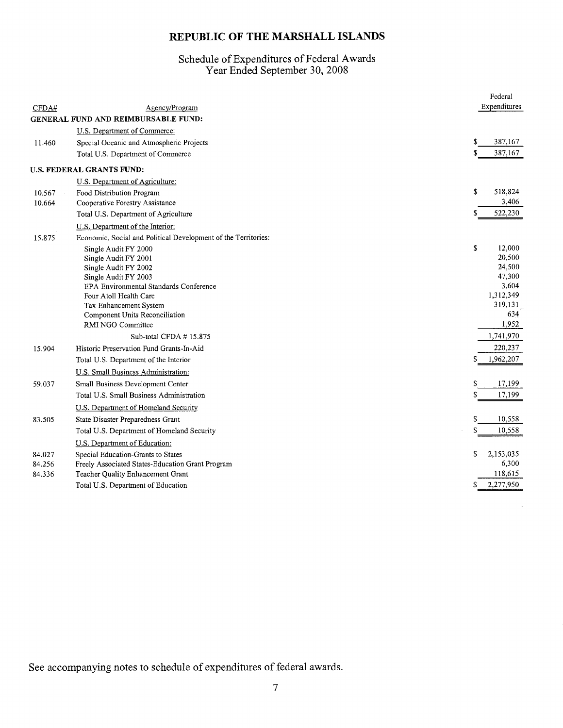# Schedule of Expenditures of Federal Awards<br>Year Ended September 30, 2008

|        |                                                                |    | Federal         |
|--------|----------------------------------------------------------------|----|-----------------|
| CFDA#  | Agency/Program                                                 |    | Expenditures    |
|        | GENERAL FUND AND REIMBURSABLE FUND:                            |    |                 |
|        | U.S. Department of Commerce:                                   |    |                 |
| 11.460 | Special Oceanic and Atmospheric Projects                       | \$ | 387,167         |
|        | Total U.S. Department of Commerce                              | \$ | 387,167         |
|        | <b>U.S. FEDERAL GRANTS FUND:</b>                               |    |                 |
|        | U.S. Department of Agriculture:                                |    |                 |
| 10.567 | Food Distribution Program                                      | \$ | 518,824         |
| 10.664 | Cooperative Forestry Assistance                                |    | 3,406           |
|        | Total U.S. Department of Agriculture                           | S  | 522,230         |
|        | U.S. Department of the Interior:                               |    |                 |
| 15.875 | Economic, Social and Political Development of the Territories: |    |                 |
|        | Single Audit FY 2000                                           | S  | 12,000          |
|        | Single Audit FY 2001                                           |    | 20,500          |
|        | Single Audit FY 2002                                           |    | 24,500          |
|        | Single Audit FY 2003<br>EPA Environmental Standards Conference |    | 47,300<br>3,604 |
|        | Four Atoll Health Care                                         |    | 1,312,349       |
|        | Tax Enhancement System                                         |    | 319,131         |
|        | Component Units Reconciliation                                 |    | 634             |
|        | <b>RMI NGO Committee</b>                                       |    | 1,952           |
|        | Sub-total CFDA #15.875                                         |    | 1,741,970       |
| 15.904 | Historic Preservation Fund Grants-In-Aid                       |    | 220,237         |
|        | Total U.S. Department of the Interior                          |    | 1,962,207       |
|        | U.S. Small Business Administration:                            |    |                 |
| 59.037 | Small Business Development Center                              | \$ | 17,199          |
|        | Total U.S. Small Business Administration                       | ፍ  | 17,199          |
|        | U.S. Department of Homeland Security                           |    |                 |
| 83.505 | State Disaster Preparedness Grant                              | S  | 10,558          |
|        | Total U.S. Department of Homeland Security                     |    | 10,558          |
|        | U.S. Department of Education:                                  |    |                 |
| 84.027 | Special Education-Grants to States                             | S  | 2,153,035       |
| 84.256 | Freely Associated States-Education Grant Program               |    | 6,300           |
| 84.336 | Teacher Quality Enhancement Grant                              |    | 118,615         |
|        | Total U.S. Department of Education                             | \$ | 2,277,950       |

See accompanying notes to schedule of expenditures of federal awards.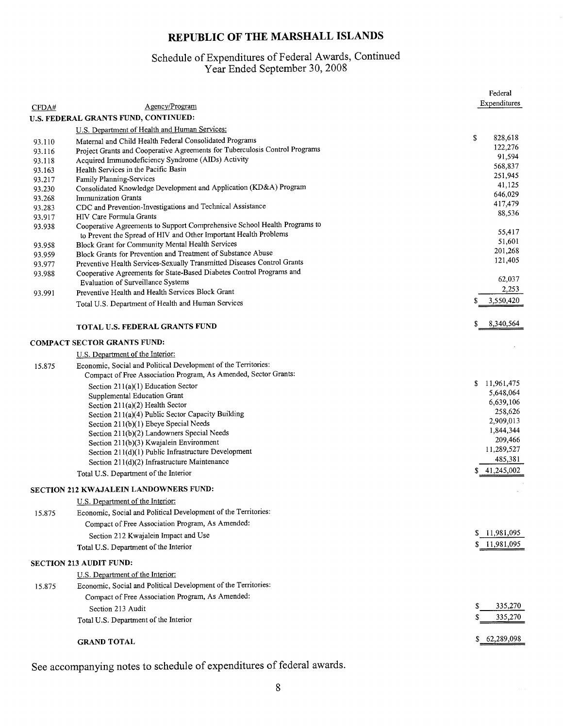# Schedule of Expenditures of Federal Awards, Continued<br>Year Ended September 30, 2008

|                  |                                                                                                                  | Federal           |
|------------------|------------------------------------------------------------------------------------------------------------------|-------------------|
| CFDA#            | Agency/Program                                                                                                   | Expenditures      |
|                  | U.S. FEDERAL GRANTS FUND, CONTINUED:                                                                             |                   |
|                  | U.S. Department of Health and Human Services:                                                                    |                   |
| 93.110           | Maternal and Child Health Federal Consolidated Programs                                                          | \$<br>828,618     |
| 93.116           | Project Grants and Cooperative Agreements for Tuberculosis Control Programs                                      | 122,276           |
| 93.118           | Acquired Immunodeficiency Syndrome (AIDs) Activity                                                               | 91,594            |
| 93.163           | Health Services in the Pacific Basin                                                                             | 568,837           |
| 93.217           | <b>Family Planning-Services</b>                                                                                  | 251,945           |
| 93.230           | Consolidated Knowledge Development and Application (KD&A) Program                                                | 41,125<br>646,029 |
| 93.268           | Immunization Grants                                                                                              | 417,479           |
| 93.283           | CDC and Prevention-Investigations and Technical Assistance                                                       | 88,536            |
| 93.917           | HIV Care Formula Grants                                                                                          |                   |
| 93.938           | Cooperative Agreements to Support Comprehensive School Health Programs to                                        | 55,417            |
|                  | to Prevent the Spread of HIV and Other Important Health Problems                                                 | 51,601            |
| 93.958           | Block Grant for Community Mental Health Services<br>Block Grants for Prevention and Treatment of Substance Abuse | 201,268           |
| 93.959           | Preventive Health Services-Sexually Transmitted Diseases Control Grants                                          | 121,405           |
| 93.977<br>93.988 | Cooperative Agreements for State-Based Diabetes Control Programs and                                             |                   |
|                  | Evaluation of Surveillance Systems                                                                               | 62,037            |
| 93.991           | Preventive Health and Health Services Block Grant                                                                | 2,253             |
|                  | Total U.S. Department of Health and Human Services                                                               | 3,550,420<br>\$   |
|                  |                                                                                                                  |                   |
|                  | TOTAL U.S. FEDERAL GRANTS FUND                                                                                   | 8,340,564<br>\$   |
|                  | <b>COMPACT SECTOR GRANTS FUND:</b>                                                                               |                   |
|                  | U.S. Department of the Interior:                                                                                 |                   |
| 15.875           | Economic, Social and Political Development of the Territories:                                                   |                   |
|                  | Compact of Free Association Program, As Amended, Sector Grants:                                                  |                   |
|                  | Section $211(a)(1)$ Education Sector                                                                             | \$11,961,475      |
|                  | Supplemental Education Grant                                                                                     | 5,648,064         |
|                  | Section $211(a)(2)$ Health Sector                                                                                | 6,639,106         |
|                  | Section $211(a)(4)$ Public Sector Capacity Building                                                              | 258,626           |
|                  | Section 211(b)(1) Ebeye Special Needs                                                                            | 2,909,013         |
|                  | Section 211(b)(2) Landowners Special Needs                                                                       | 1,844,344         |
|                  | Section 211(b)(3) Kwajalein Environment                                                                          | 209,466           |
|                  | Section 211(d)(1) Public Infrastructure Development                                                              | 11,289,527        |
|                  | Section 211(d)(2) Infrastructure Maintenance                                                                     | 485,381           |
|                  | Total U.S. Department of the Interior                                                                            | 41,245,002<br>\$  |
|                  | SECTION 212 KWAJALEIN LANDOWNERS FUND:                                                                           |                   |
|                  | U.S. Department of the Interior:                                                                                 |                   |
| 15.875           | Economic, Social and Political Development of the Territories:                                                   |                   |
|                  | Compact of Free Association Program, As Amended:                                                                 |                   |
|                  | Section 212 Kwajalein Impact and Use                                                                             | \$11,981,095      |
|                  | Total U.S. Department of the Interior                                                                            | \$11,981,095      |
|                  |                                                                                                                  |                   |
|                  | <b>SECTION 213 AUDIT FUND:</b>                                                                                   |                   |
|                  | U.S. Department of the Interior:                                                                                 |                   |
| 15.875           | Economic, Social and Political Development of the Territories:                                                   |                   |
|                  | Compact of Free Association Program, As Amended:                                                                 |                   |
|                  | Section 213 Audit                                                                                                | \$<br>335,270     |
|                  | Total U.S. Department of the Interior                                                                            | 335,270<br>S      |
|                  | <b>GRAND TOTAL</b>                                                                                               | \$ 62,289,098     |
|                  |                                                                                                                  |                   |

See accompanying notes to schedule of expenditures of federal awards.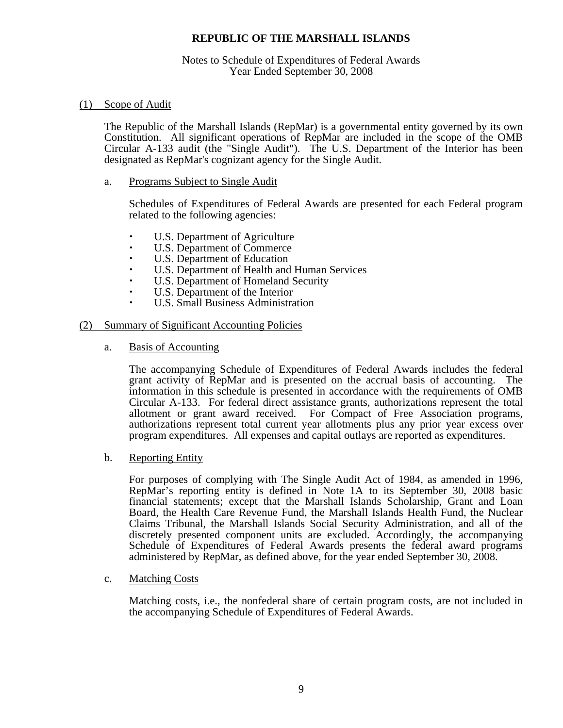#### Notes to Schedule of Expenditures of Federal Awards Year Ended September 30, 2008

## (1) Scope of Audit

The Republic of the Marshall Islands (RepMar) is a governmental entity governed by its own Constitution. All significant operations of RepMar are included in the scope of the OMB Circular A-133 audit (the "Single Audit"). The U.S. Department of the Interior has been designated as RepMar's cognizant agency for the Single Audit.

a. Programs Subject to Single Audit

Schedules of Expenditures of Federal Awards are presented for each Federal program related to the following agencies:

- 
- 
- 
- U.S. Department of Agriculture<br>
U.S. Department of Commerce<br>
U.S. Department of Education<br>
U.S. Department of Health and Human Services<br>
U.S. Department of Homeland Security<br>
U.S. Department of the Interior<br>
U.S. Small Bus
- 
- 
- 

#### (2) Summary of Significant Accounting Policies

a. Basis of Accounting

The accompanying Schedule of Expenditures of Federal Awards includes the federal grant activity of RepMar and is presented on the accrual basis of accounting. The information in this schedule is presented in accordance with the requirements of OMB Circular A-133. For federal direct assistance grants, authorizations represent the total allotment or grant award received. For Compact of Free Association programs, authorizations represent total current year allotments plus any prior year excess over program expenditures. All expenses and capital outlays are reported as expenditures.

b. Reporting Entity

For purposes of complying with The Single Audit Act of 1984, as amended in 1996, RepMar's reporting entity is defined in Note 1A to its September 30, 2008 basic financial statements; except that the Marshall Islands Scholarship, Grant and Loan Board, the Health Care Revenue Fund, the Marshall Islands Health Fund, the Nuclear Claims Tribunal, the Marshall Islands Social Security Administration, and all of the discretely presented component units are excluded. Accordingly, the accompanying Schedule of Expenditures of Federal Awards presents the federal award programs administered by RepMar, as defined above, for the year ended September 30, 2008.

c. Matching Costs

Matching costs, i.e., the nonfederal share of certain program costs, are not included in the accompanying Schedule of Expenditures of Federal Awards.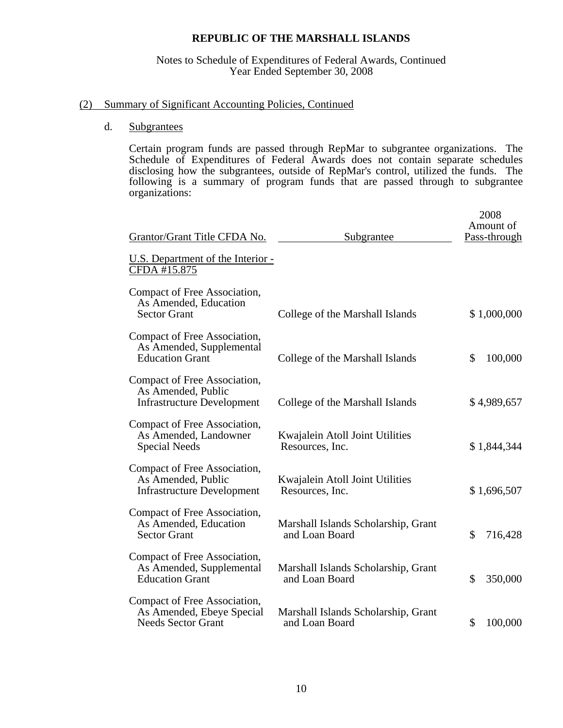#### Notes to Schedule of Expenditures of Federal Awards, Continued Year Ended September 30, 2008

## (2) Summary of Significant Accounting Policies, Continued

d. Subgrantees

Certain program funds are passed through RepMar to subgrantee organizations. The Schedule of Expenditures of Federal Awards does not contain separate schedules disclosing how the subgrantees, outside of RepMar's control, utilized the funds. The following is a summary of program funds that are passed through to subgrantee organizations:

| Grantor/Grant Title CFDA No.                                                            | Subgrantee                                            | 2008<br>Amount of<br>Pass-through |
|-----------------------------------------------------------------------------------------|-------------------------------------------------------|-----------------------------------|
| <u>U.S. Department of the Interior -</u><br>CFDA #15.875                                |                                                       |                                   |
| Compact of Free Association,<br>As Amended, Education<br><b>Sector Grant</b>            | College of the Marshall Islands                       | \$1,000,000                       |
| Compact of Free Association,<br>As Amended, Supplemental<br><b>Education Grant</b>      | College of the Marshall Islands                       | \$<br>100,000                     |
| Compact of Free Association,<br>As Amended, Public<br><b>Infrastructure Development</b> | College of the Marshall Islands                       | \$4,989,657                       |
| Compact of Free Association,<br>As Amended, Landowner<br><b>Special Needs</b>           | Kwajalein Atoll Joint Utilities<br>Resources, Inc.    | \$1,844,344                       |
| Compact of Free Association,<br>As Amended, Public<br><b>Infrastructure Development</b> | Kwajalein Atoll Joint Utilities<br>Resources, Inc.    | \$1,696,507                       |
| Compact of Free Association,<br>As Amended, Education<br><b>Sector Grant</b>            | Marshall Islands Scholarship, Grant<br>and Loan Board | \$<br>716,428                     |
| Compact of Free Association,<br>As Amended, Supplemental<br><b>Education Grant</b>      | Marshall Islands Scholarship, Grant<br>and Loan Board | 350,000<br>\$                     |
| Compact of Free Association,<br>As Amended, Ebeye Special<br><b>Needs Sector Grant</b>  | Marshall Islands Scholarship, Grant<br>and Loan Board | \$<br>100,000                     |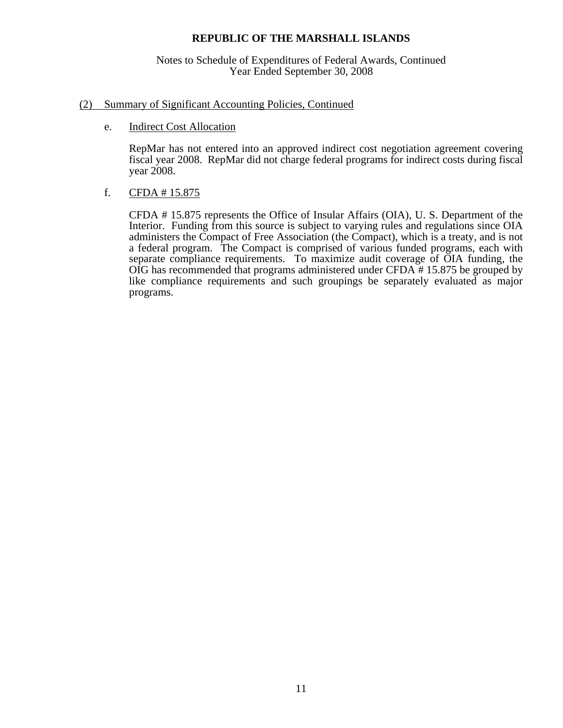## Notes to Schedule of Expenditures of Federal Awards, Continued Year Ended September 30, 2008

# (2) Summary of Significant Accounting Policies, Continued

e. Indirect Cost Allocation

RepMar has not entered into an approved indirect cost negotiation agreement covering fiscal year 2008. RepMar did not charge federal programs for indirect costs during fiscal year 2008.

f. CFDA # 15.875

CFDA # 15.875 represents the Office of Insular Affairs (OIA), U. S. Department of the Interior. Funding from this source is subject to varying rules and regulations since OIA administers the Compact of Free Association (the Compact), which is a treaty, and is not a federal program. The Compact is comprised of various funded programs, each with separate compliance requirements. To maximize audit coverage of OIA funding, the OIG has recommended that programs administered under CFDA # 15.875 be grouped by like compliance requirements and such groupings be separately evaluated as major programs.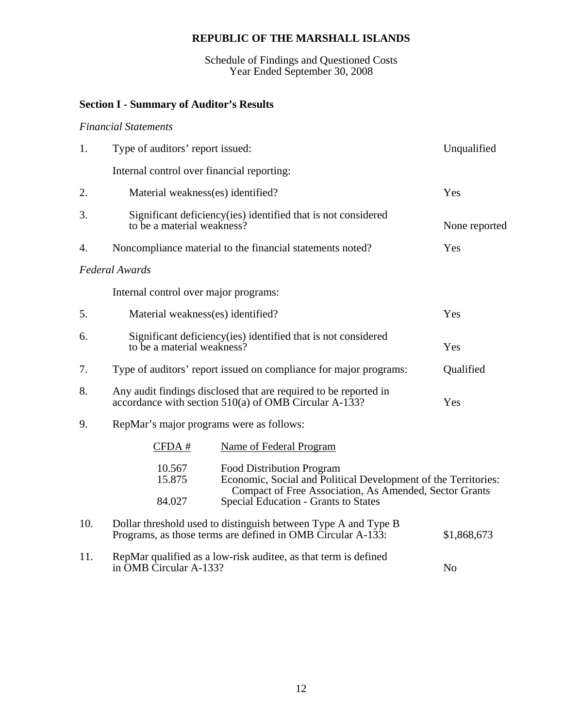Schedule of Findings and Questioned Costs Year Ended September 30, 2008

# **Section I - Summary of Auditor's Results**

## *Financial Statements*

| 1.  | Type of auditors' report issued:                                                                                                 |                                                                                                                                                              | Unqualified |  |  |
|-----|----------------------------------------------------------------------------------------------------------------------------------|--------------------------------------------------------------------------------------------------------------------------------------------------------------|-------------|--|--|
|     | Internal control over financial reporting:                                                                                       |                                                                                                                                                              |             |  |  |
| 2.  | Material weakness(es) identified?                                                                                                |                                                                                                                                                              | Yes         |  |  |
| 3.  |                                                                                                                                  | Significant deficiency(ies) identified that is not considered<br>to be a material weakness?                                                                  |             |  |  |
| 4.  |                                                                                                                                  | Noncompliance material to the financial statements noted?                                                                                                    |             |  |  |
|     | <b>Federal Awards</b>                                                                                                            |                                                                                                                                                              |             |  |  |
|     | Internal control over major programs:                                                                                            |                                                                                                                                                              |             |  |  |
| 5.  | Material weakness(es) identified?                                                                                                | Yes                                                                                                                                                          |             |  |  |
| 6.  | Significant deficiency (ies) identified that is not considered<br>to be a material weakness?                                     | Yes                                                                                                                                                          |             |  |  |
| 7.  | Type of auditors' report issued on compliance for major programs:                                                                | Qualified                                                                                                                                                    |             |  |  |
| 8.  | Any audit findings disclosed that are required to be reported in<br>accordance with section 510(a) of OMB Circular A-133?<br>Yes |                                                                                                                                                              |             |  |  |
| 9.  |                                                                                                                                  | RepMar's major programs were as follows:                                                                                                                     |             |  |  |
|     | CFDA#                                                                                                                            | <b>Name of Federal Program</b>                                                                                                                               |             |  |  |
|     | 10.567<br>15.875                                                                                                                 | <b>Food Distribution Program</b><br>Economic, Social and Political Development of the Territories:<br>Compact of Free Association, As Amended, Sector Grants |             |  |  |
|     | 84.027                                                                                                                           | Special Education - Grants to States                                                                                                                         |             |  |  |
| 10. |                                                                                                                                  | Dollar threshold used to distinguish between Type A and Type B<br>Programs, as those terms are defined in OMB Circular A-133:                                | \$1,868,673 |  |  |
| 11. |                                                                                                                                  | RepMar qualified as a low-risk auditee, as that term is defined                                                                                              |             |  |  |

in OMB Circular A-133?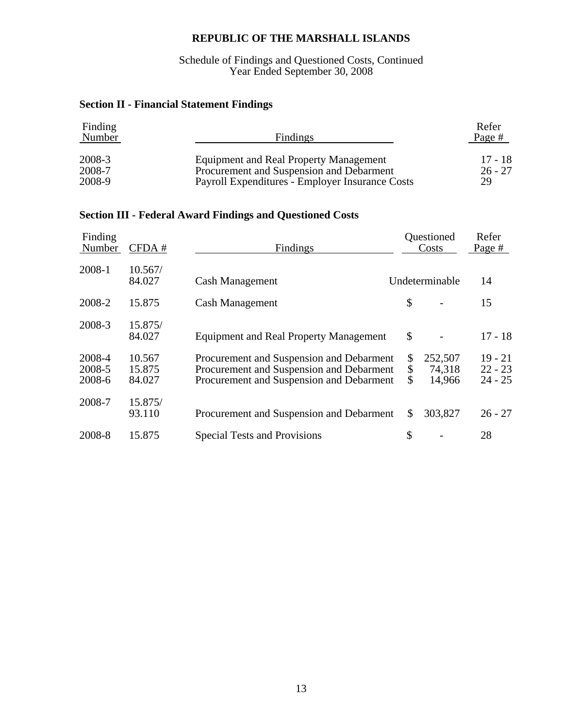#### Schedule of Findings and Questioned Costs, Continued Year Ended September 30, 2008

# **Section II - Financial Statement Findings**

| Finding<br>Number | Findings                                        | Refer<br>Page # |  |
|-------------------|-------------------------------------------------|-----------------|--|
| 2008-3            | <b>Equipment and Real Property Management</b>   | $17 - 18$       |  |
| 2008-7            | Procurement and Suspension and Debarment        | $26 - 27$       |  |
| 2008-9            | Payroll Expenditures - Employer Insurance Costs | 29              |  |

# **Section III - Federal Award Findings and Questioned Costs**

| Finding<br>Number          | CFDA#                      | Findings                                                                                                                         |                | Questioned<br>Costs         | Refer<br>Page #                     |
|----------------------------|----------------------------|----------------------------------------------------------------------------------------------------------------------------------|----------------|-----------------------------|-------------------------------------|
| 2008-1                     | 10.567/<br>84.027          | <b>Cash Management</b>                                                                                                           |                | Undeterminable              | 14                                  |
| 2008-2                     | 15.875                     | <b>Cash Management</b>                                                                                                           | \$             |                             | 15                                  |
| 2008-3                     | 15.875/<br>84.027          | <b>Equipment and Real Property Management</b>                                                                                    | \$             |                             | $17 - 18$                           |
| 2008-4<br>2008-5<br>2008-6 | 10.567<br>15.875<br>84.027 | Procurement and Suspension and Debarment<br>Procurement and Suspension and Debarment<br>Procurement and Suspension and Debarment | \$<br>\$<br>\$ | 252,507<br>74,318<br>14,966 | $19 - 21$<br>$22 - 23$<br>$24 - 25$ |
| 2008-7                     | 15.875/<br>93.110          | Procurement and Suspension and Debarment                                                                                         | \$             | 303,827                     | $26 - 27$                           |
| 2008-8                     | 15.875                     | <b>Special Tests and Provisions</b>                                                                                              | \$             |                             | 28                                  |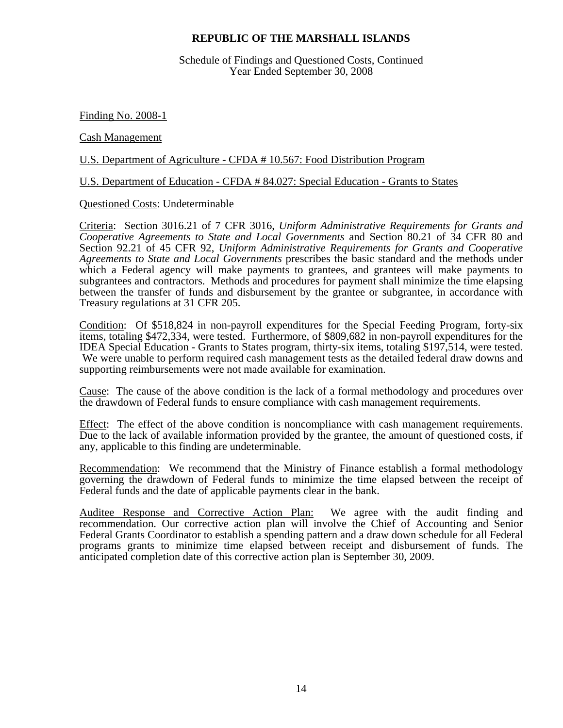Schedule of Findings and Questioned Costs, Continued Year Ended September 30, 2008

Finding No. 2008-1

## Cash Management

# U.S. Department of Agriculture - CFDA # 10.567: Food Distribution Program

# U.S. Department of Education - CFDA # 84.027: Special Education - Grants to States

## Questioned Costs: Undeterminable

Criteria: Section 3016.21 of 7 CFR 3016, *Uniform Administrative Requirements for Grants and Cooperative Agreements to State and Local Governments* and Section 80.21 of 34 CFR 80 and Section 92.21 of 45 CFR 92, *Uniform Administrative Requirements for Grants and Cooperative Agreements to State and Local Governments* prescribes the basic standard and the methods under which a Federal agency will make payments to grantees, and grantees will make payments to subgrantees and contractors. Methods and procedures for payment shall minimize the time elapsing between the transfer of funds and disbursement by the grantee or subgrantee, in accordance with Treasury regulations at 31 CFR 205.

Condition: Of \$518,824 in non-payroll expenditures for the Special Feeding Program, forty-six items, totaling \$472,334, were tested. Furthermore, of \$809,682 in non-payroll expenditures for the IDEA Special Education - Grants to States program, thirty-six items, totaling \$197,514, were tested. We were unable to perform required cash management tests as the detailed federal draw downs and supporting reimbursements were not made available for examination.

Cause: The cause of the above condition is the lack of a formal methodology and procedures over the drawdown of Federal funds to ensure compliance with cash management requirements.

Effect: The effect of the above condition is noncompliance with cash management requirements. Due to the lack of available information provided by the grantee, the amount of questioned costs, if any, applicable to this finding are undeterminable.

Recommendation: We recommend that the Ministry of Finance establish a formal methodology governing the drawdown of Federal funds to minimize the time elapsed between the receipt of Federal funds and the date of applicable payments clear in the bank.

Auditee Response and Corrective Action Plan: We agree with the audit finding and recommendation. Our corrective action plan will involve the Chief of Accounting and Senior Federal Grants Coordinator to establish a spending pattern and a draw down schedule for all Federal programs grants to minimize time elapsed between receipt and disbursement of funds. The anticipated completion date of this corrective action plan is September 30, 2009.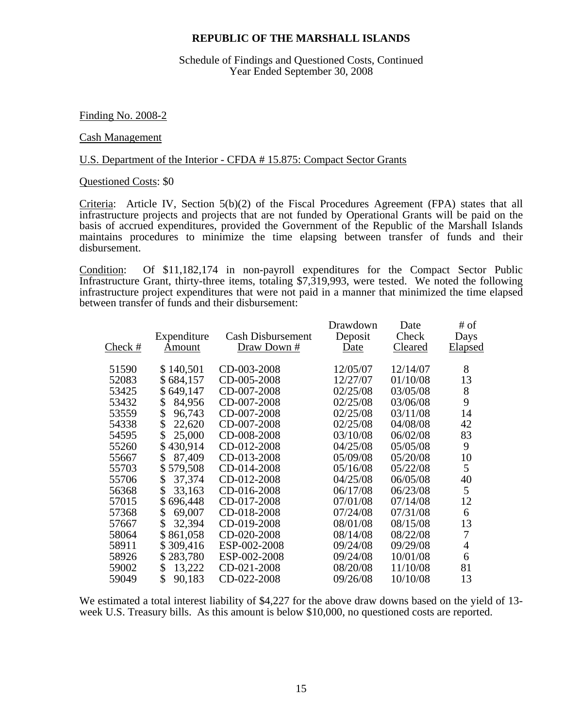#### Schedule of Findings and Questioned Costs, Continued Year Ended September 30, 2008

Finding No. 2008-2

#### Cash Management

#### U.S. Department of the Interior - CFDA # 15.875: Compact Sector Grants

#### Questioned Costs: \$0

Criteria: Article IV, Section 5(b)(2) of the Fiscal Procedures Agreement (FPA) states that all infrastructure projects and projects that are not funded by Operational Grants will be paid on the basis of accrued expenditures, provided the Government of the Republic of the Marshall Islands maintains procedures to minimize the time elapsing between transfer of funds and their disbursement.

Condition: Of \$11,182,174 in non-payroll expenditures for the Compact Sector Public Infrastructure Grant, thirty-three items, totaling \$7,319,993, were tested. We noted the following infrastructure project expenditures that were not paid in a manner that minimized the time elapsed between transfer of funds and their disbursement:

|         |               |                          | Drawdown | Date     | # of           |
|---------|---------------|--------------------------|----------|----------|----------------|
|         | Expenditure   | <b>Cash Disbursement</b> | Deposit  | Check    | Days           |
| Check # | Amount        | Draw Down #              | Date     | Cleared  | <b>Elapsed</b> |
| 51590   | \$140,501     | CD-003-2008              | 12/05/07 | 12/14/07 | 8              |
|         |               |                          |          |          |                |
| 52083   | \$684,157     | CD-005-2008              | 12/27/07 | 01/10/08 | 13             |
| 53425   | 649,147<br>\$ | CD-007-2008              | 02/25/08 | 03/05/08 | 8              |
| 53432   | \$<br>84,956  | CD-007-2008              | 02/25/08 | 03/06/08 | 9              |
| 53559   | \$<br>96,743  | CD-007-2008              | 02/25/08 | 03/11/08 | 14             |
| 54338   | \$<br>22,620  | CD-007-2008              | 02/25/08 | 04/08/08 | 42             |
| 54595   | \$<br>25,000  | CD-008-2008              | 03/10/08 | 06/02/08 | 83             |
| 55260   | \$<br>430,914 | CD-012-2008              | 04/25/08 | 05/05/08 | 9              |
| 55667   | \$<br>87,409  | CD-013-2008              | 05/09/08 | 05/20/08 | 10             |
| 55703   | 579,508<br>\$ | CD-014-2008              | 05/16/08 | 05/22/08 | 5              |
| 55706   | \$<br>37,374  | CD-012-2008              | 04/25/08 | 06/05/08 | 40             |
| 56368   | \$<br>33,163  | CD-016-2008              | 06/17/08 | 06/23/08 | 5              |
| 57015   | \$<br>696,448 | CD-017-2008              | 07/01/08 | 07/14/08 | 12             |
| 57368   | \$<br>69,007  | CD-018-2008              | 07/24/08 | 07/31/08 | 6              |
| 57667   | \$<br>32,394  | CD-019-2008              | 08/01/08 | 08/15/08 | 13             |
| 58064   | \$861,058     | CD-020-2008              | 08/14/08 | 08/22/08 | 7              |
| 58911   | \$309,416     | ESP-002-2008             | 09/24/08 | 09/29/08 | $\overline{4}$ |
| 58926   | 283,780<br>\$ | ESP-002-2008             | 09/24/08 | 10/01/08 | 6              |
| 59002   | 13,222<br>\$  | CD-021-2008              | 08/20/08 | 11/10/08 | 81             |
| 59049   | \$<br>90,183  | CD-022-2008              | 09/26/08 | 10/10/08 | 13             |
|         |               |                          |          |          |                |

We estimated a total interest liability of \$4,227 for the above draw downs based on the yield of 13week U.S. Treasury bills. As this amount is below \$10,000, no questioned costs are reported.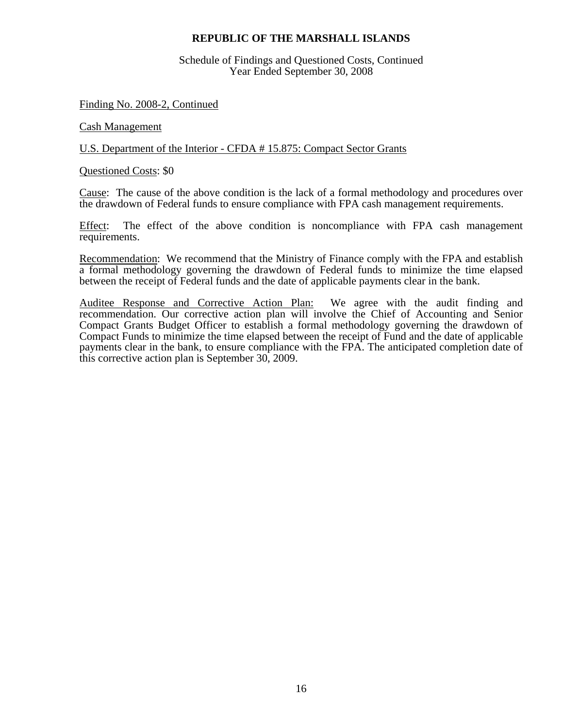Schedule of Findings and Questioned Costs, Continued Year Ended September 30, 2008

Finding No. 2008-2, Continued

Cash Management

# U.S. Department of the Interior - CFDA # 15.875: Compact Sector Grants

Questioned Costs: \$0

Cause: The cause of the above condition is the lack of a formal methodology and procedures over the drawdown of Federal funds to ensure compliance with FPA cash management requirements.

Effect: The effect of the above condition is noncompliance with FPA cash management requirements.

Recommendation: We recommend that the Ministry of Finance comply with the FPA and establish a formal methodology governing the drawdown of Federal funds to minimize the time elapsed between the receipt of Federal funds and the date of applicable payments clear in the bank.

Auditee Response and Corrective Action Plan: We agree with the audit finding and recommendation. Our corrective action plan will involve the Chief of Accounting and Senior Compact Grants Budget Officer to establish a formal methodology governing the drawdown of Compact Funds to minimize the time elapsed between the receipt of Fund and the date of applicable payments clear in the bank, to ensure compliance with the FPA. The anticipated completion date of this corrective action plan is September 30, 2009.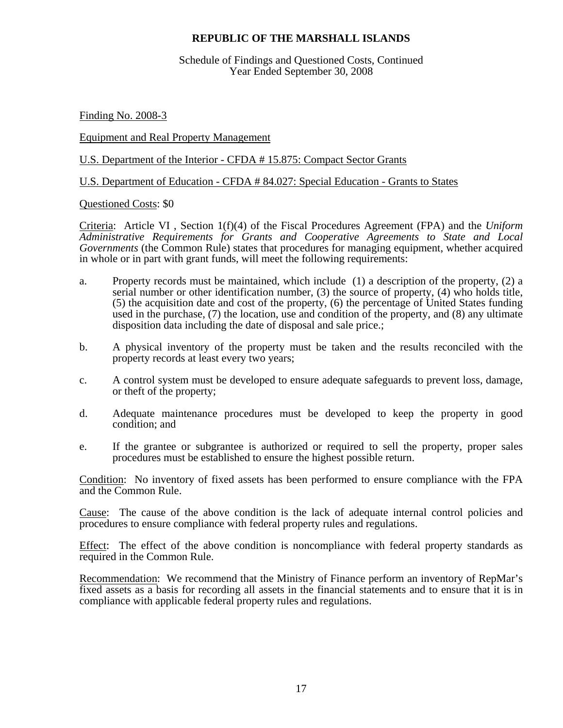Schedule of Findings and Questioned Costs, Continued Year Ended September 30, 2008

Finding No. 2008-3

# Equipment and Real Property Management

# U.S. Department of the Interior - CFDA # 15.875: Compact Sector Grants

## U.S. Department of Education - CFDA # 84.027: Special Education - Grants to States

Questioned Costs: \$0

Criteria: Article VI , Section 1(f)(4) of the Fiscal Procedures Agreement (FPA) and the *Uniform Administrative Requirements for Grants and Cooperative Agreements to State and Local Governments* (the Common Rule) states that procedures for managing equipment, whether acquired in whole or in part with grant funds, will meet the following requirements:

- a. Property records must be maintained, which include (1) a description of the property, (2) a serial number or other identification number, (3) the source of property, (4) who holds title, (5) the acquisition date and cost of the property, (6) the percentage of United States funding used in the purchase, (7) the location, use and condition of the property, and (8) any ultimate disposition data including the date of disposal and sale price.;
- b. A physical inventory of the property must be taken and the results reconciled with the property records at least every two years;
- c. A control system must be developed to ensure adequate safeguards to prevent loss, damage, or theft of the property;
- d. Adequate maintenance procedures must be developed to keep the property in good condition; and
- e. If the grantee or subgrantee is authorized or required to sell the property, proper sales procedures must be established to ensure the highest possible return.

Condition: No inventory of fixed assets has been performed to ensure compliance with the FPA and the Common Rule.

Cause: The cause of the above condition is the lack of adequate internal control policies and procedures to ensure compliance with federal property rules and regulations.

Effect: The effect of the above condition is noncompliance with federal property standards as required in the Common Rule.

Recommendation: We recommend that the Ministry of Finance perform an inventory of RepMar's fixed assets as a basis for recording all assets in the financial statements and to ensure that it is in compliance with applicable federal property rules and regulations.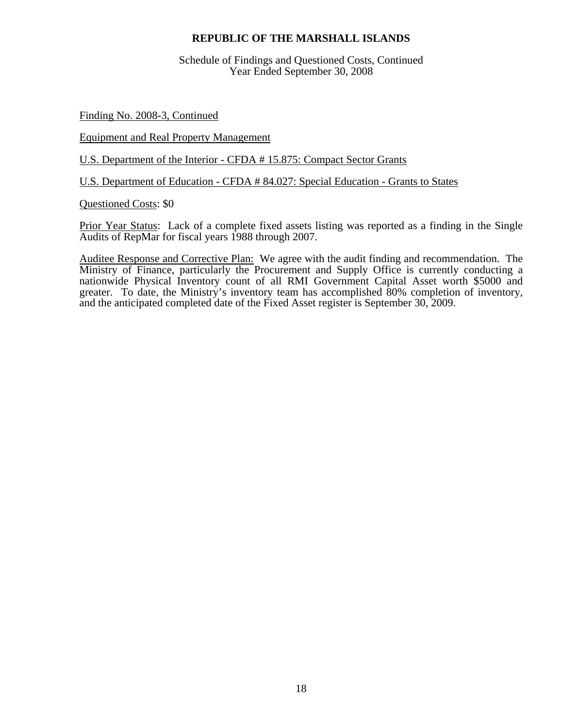Schedule of Findings and Questioned Costs, Continued Year Ended September 30, 2008

Finding No. 2008-3, Continued

Equipment and Real Property Management

U.S. Department of the Interior - CFDA # 15.875: Compact Sector Grants

U.S. Department of Education - CFDA # 84.027: Special Education - Grants to States

Questioned Costs: \$0

Prior Year Status: Lack of a complete fixed assets listing was reported as a finding in the Single Audits of RepMar for fiscal years 1988 through 2007.

Auditee Response and Corrective Plan: We agree with the audit finding and recommendation. The Ministry of Finance, particularly the Procurement and Supply Office is currently conducting a nationwide Physical Inventory count of all RMI Government Capital Asset worth \$5000 and greater. To date, the Ministry's inventory team has accomplished 80% completion of inventory, and the anticipated completed date of the Fixed Asset register is September 30, 2009.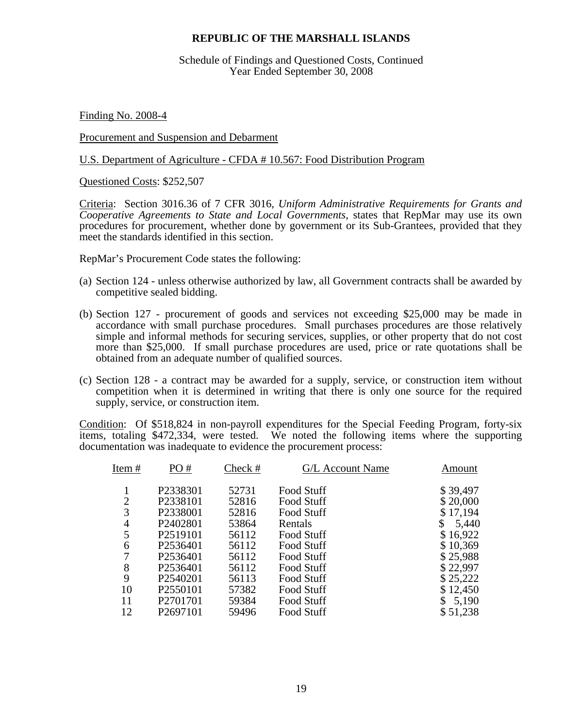Schedule of Findings and Questioned Costs, Continued Year Ended September 30, 2008

Finding No. 2008-4

#### Procurement and Suspension and Debarment

#### U.S. Department of Agriculture - CFDA # 10.567: Food Distribution Program

Questioned Costs: \$252,507

Criteria: Section 3016.36 of 7 CFR 3016, *Uniform Administrative Requirements for Grants and Cooperative Agreements to State and Local Governments*, states that RepMar may use its own procedures for procurement, whether done by government or its Sub-Grantees, provided that they meet the standards identified in this section.

RepMar's Procurement Code states the following:

- (a) Section 124 unless otherwise authorized by law, all Government contracts shall be awarded by competitive sealed bidding.
- (b) Section 127 procurement of goods and services not exceeding \$25,000 may be made in accordance with small purchase procedures. Small purchases procedures are those relatively simple and informal methods for securing services, supplies, or other property that do not cost more than \$25,000. If small purchase procedures are used, price or rate quotations shall be obtained from an adequate number of qualified sources.
- (c) Section 128 a contract may be awarded for a supply, service, or construction item without competition when it is determined in writing that there is only one source for the required supply, service, or construction item.

Condition: Of \$518,824 in non-payroll expenditures for the Special Feeding Program, forty-six items, totaling \$472,334, were tested. We noted the following items where the supporting documentation was inadequate to evidence the procurement process:

| Item# | PO #                 | Check # | G/L Account Name | Amount      |
|-------|----------------------|---------|------------------|-------------|
|       | P2338301             | 52731   | Food Stuff       | \$39,497    |
|       |                      |         |                  |             |
| 2     | P2338101             | 52816   | Food Stuff       | \$20,000    |
| 3     | P2338001             | 52816   | Food Stuff       | \$17,194    |
| 4     | P2402801             | 53864   | Rentals          | \$<br>5,440 |
| 5     | P2519101             | 56112   | Food Stuff       | \$16,922    |
| 6     | P2536401             | 56112   | Food Stuff       | \$10,369    |
| 7     | P2536401             | 56112   | Food Stuff       | \$25,988    |
| 8     | P2536401             | 56112   | Food Stuff       | \$22,997    |
| 9     | P <sub>2540201</sub> | 56113   | Food Stuff       | \$25,222    |
| 10    | P2550101             | 57382   | Food Stuff       | \$12,450    |
| 11    | P <sub>2701701</sub> | 59384   | Food Stuff       | 5,190<br>\$ |
| 12    | P2697101             | 59496   | Food Stuff       | \$51,238    |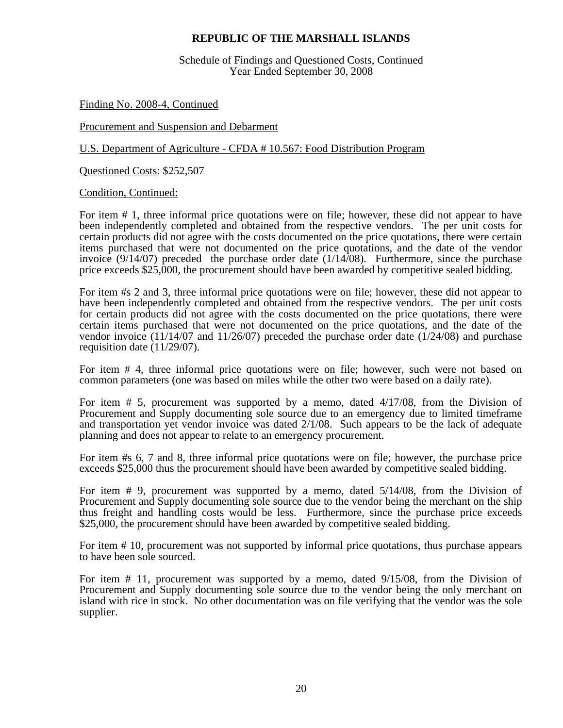Schedule of Findings and Questioned Costs, Continued Year Ended September 30, 2008

Finding No. 2008-4, Continued

Procurement and Suspension and Debarment

U.S. Department of Agriculture - CFDA # 10.567: Food Distribution Program

Questioned Costs: \$252,507

#### Condition, Continued:

For item # 1, three informal price quotations were on file; however, these did not appear to have been independently completed and obtained from the respective vendors. The per unit costs for certain products did not agree with the costs documented on the price quotations, there were certain items purchased that were not documented on the price quotations, and the date of the vendor invoice  $(9/14/07)$  preceded the purchase order date  $(1/14/08)$ . Furthermore, since the purchase price exceeds \$25,000, the procurement should have been awarded by competitive sealed bidding.

For item #s 2 and 3, three informal price quotations were on file; however, these did not appear to have been independently completed and obtained from the respective vendors. The per unit costs for certain products did not agree with the costs documented on the price quotations, there were certain items purchased that were not documented on the price quotations, and the date of the vendor invoice  $(11/14/07$  and  $11/26/07)$  preceded the purchase order date  $(1/24/08)$  and purchase requisition date (11/29/07).

For item # 4, three informal price quotations were on file; however, such were not based on common parameters (one was based on miles while the other two were based on a daily rate).

For item # 5, procurement was supported by a memo, dated 4/17/08, from the Division of Procurement and Supply documenting sole source due to an emergency due to limited timeframe and transportation yet vendor invoice was dated 2/1/08. Such appears to be the lack of adequate planning and does not appear to relate to an emergency procurement.

For item #s 6, 7 and 8, three informal price quotations were on file; however, the purchase price exceeds \$25,000 thus the procurement should have been awarded by competitive sealed bidding.

For item # 9, procurement was supported by a memo, dated 5/14/08, from the Division of Procurement and Supply documenting sole source due to the vendor being the merchant on the ship thus freight and handling costs would be less. Furthermore, since the purchase price exceeds \$25,000, the procurement should have been awarded by competitive sealed bidding.

For item # 10, procurement was not supported by informal price quotations, thus purchase appears to have been sole sourced.

For item # 11, procurement was supported by a memo, dated 9/15/08, from the Division of Procurement and Supply documenting sole source due to the vendor being the only merchant on island with rice in stock. No other documentation was on file verifying that the vendor was the sole supplier.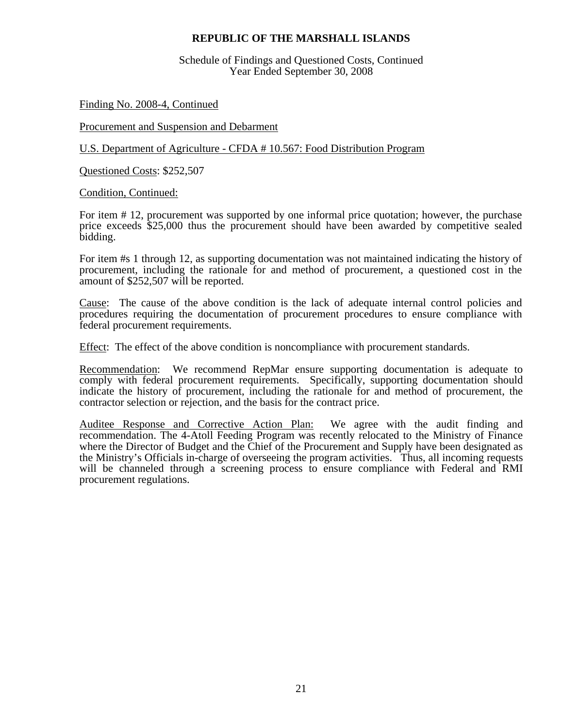Schedule of Findings and Questioned Costs, Continued Year Ended September 30, 2008

Finding No. 2008-4, Continued

Procurement and Suspension and Debarment

U.S. Department of Agriculture - CFDA # 10.567: Food Distribution Program

Questioned Costs: \$252,507

Condition, Continued:

For item # 12, procurement was supported by one informal price quotation; however, the purchase price exceeds \$25,000 thus the procurement should have been awarded by competitive sealed bidding.

For item #s 1 through 12, as supporting documentation was not maintained indicating the history of procurement, including the rationale for and method of procurement, a questioned cost in the amount of \$252,507 will be reported.

Cause: The cause of the above condition is the lack of adequate internal control policies and procedures requiring the documentation of procurement procedures to ensure compliance with federal procurement requirements.

Effect: The effect of the above condition is noncompliance with procurement standards.

Recommendation: We recommend RepMar ensure supporting documentation is adequate to comply with federal procurement requirements. Specifically, supporting documentation should indicate the history of procurement, including the rationale for and method of procurement, the contractor selection or rejection, and the basis for the contract price.

Auditee Response and Corrective Action Plan: We agree with the audit finding and recommendation. The 4-Atoll Feeding Program was recently relocated to the Ministry of Finance where the Director of Budget and the Chief of the Procurement and Supply have been designated as the Ministry's Officials in-charge of overseeing the program activities. Thus, all incoming requests will be channeled through a screening process to ensure compliance with Federal and RMI procurement regulations.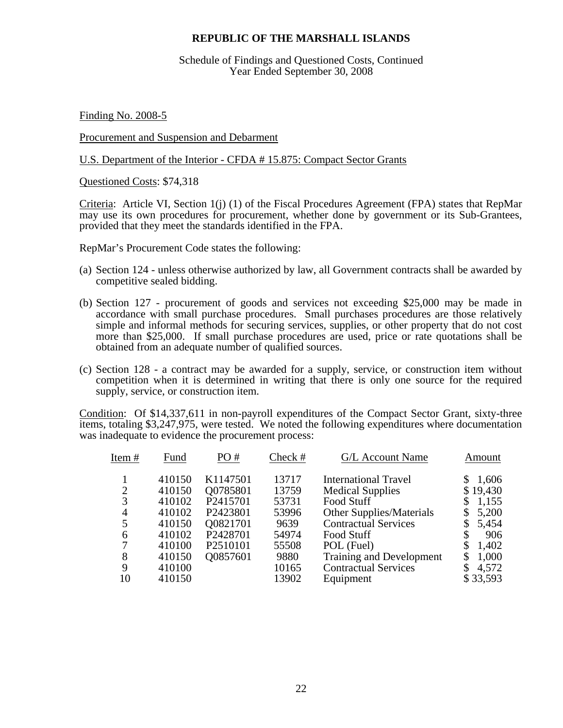Schedule of Findings and Questioned Costs, Continued Year Ended September 30, 2008

Finding No. 2008-5

#### Procurement and Suspension and Debarment

#### U.S. Department of the Interior - CFDA # 15.875: Compact Sector Grants

Questioned Costs: \$74,318

Criteria: Article VI, Section 1(j) (1) of the Fiscal Procedures Agreement (FPA) states that RepMar may use its own procedures for procurement, whether done by government or its Sub-Grantees, provided that they meet the standards identified in the FPA.

RepMar's Procurement Code states the following:

- (a) Section 124 unless otherwise authorized by law, all Government contracts shall be awarded by competitive sealed bidding.
- (b) Section 127 procurement of goods and services not exceeding \$25,000 may be made in accordance with small purchase procedures. Small purchases procedures are those relatively simple and informal methods for securing services, supplies, or other property that do not cost more than \$25,000. If small purchase procedures are used, price or rate quotations shall be obtained from an adequate number of qualified sources.
- (c) Section 128 a contract may be awarded for a supply, service, or construction item without competition when it is determined in writing that there is only one source for the required supply, service, or construction item.

Condition: Of \$14,337,611 in non-payroll expenditures of the Compact Sector Grant, sixty-three items, totaling \$3,247,975, were tested. We noted the following expenditures where documentation was inadequate to evidence the procurement process:

| Item#   | Fund             | PO#                              | Check #        | G/L Account Name                                       | Amount                     |
|---------|------------------|----------------------------------|----------------|--------------------------------------------------------|----------------------------|
| ◠       | 410150<br>410150 | K1147501<br>Q0785801             | 13717<br>13759 | <b>International Travel</b><br><b>Medical Supplies</b> | 1,606<br>S<br>\$19,430     |
| 3<br>4  | 410102<br>410102 | P2415701<br>P2423801             | 53731<br>53996 | Food Stuff<br><b>Other Supplies/Materials</b>          | 1,155<br>\$<br>5,200<br>\$ |
| 5<br>6  | 410150<br>410102 | O0821701<br>P2428701             | 9639<br>54974  | <b>Contractual Services</b><br>Food Stuff              | \$<br>5,454<br>906         |
| 7<br>8  | 410100<br>410150 | P <sub>2510101</sub><br>Q0857601 | 55508<br>9880  | POL (Fuel)<br>Training and Development                 | 1,402<br>\$<br>1,000<br>\$ |
| 9<br>10 | 410100<br>410150 |                                  | 10165<br>13902 | <b>Contractual Services</b><br>Equipment               | 4,572<br>\$<br>\$33,593    |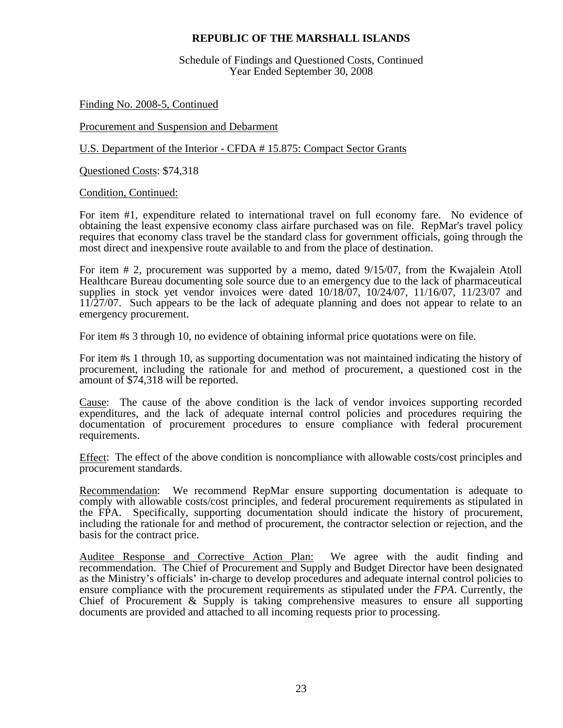Schedule of Findings and Questioned Costs, Continued Year Ended September 30, 2008

Finding No. 2008-5, Continued

Procurement and Suspension and Debarment

U.S. Department of the Interior - CFDA # 15.875: Compact Sector Grants

Questioned Costs: \$74,318

#### Condition, Continued:

For item #1, expenditure related to international travel on full economy fare. No evidence of obtaining the least expensive economy class airfare purchased was on file. RepMar's travel policy requires that economy class travel be the standard class for government officials, going through the most direct and inexpensive route available to and from the place of destination.

For item # 2, procurement was supported by a memo, dated 9/15/07, from the Kwajalein Atoll Healthcare Bureau documenting sole source due to an emergency due to the lack of pharmaceutical supplies in stock yet vendor invoices were dated 10/18/07, 10/24/07, 11/16/07, 11/23/07 and 11/27/07. Such appears to be the lack of adequate planning and does not appear to relate to an emergency procurement.

For item #s 3 through 10, no evidence of obtaining informal price quotations were on file.

For item #s 1 through 10, as supporting documentation was not maintained indicating the history of procurement, including the rationale for and method of procurement, a questioned cost in the amount of \$74,318 will be reported.

Cause: The cause of the above condition is the lack of vendor invoices supporting recorded expenditures, and the lack of adequate internal control policies and procedures requiring the documentation of procurement procedures to ensure compliance with federal procurement requirements.

Effect: The effect of the above condition is noncompliance with allowable costs/cost principles and procurement standards.

Recommendation: We recommend RepMar ensure supporting documentation is adequate to comply with allowable costs/cost principles, and federal procurement requirements as stipulated in the FPA. Specifically, supporting documentation should indicate the history of procurement, including the rationale for and method of procurement, the contractor selection or rejection, and the basis for the contract price.

Auditee Response and Corrective Action Plan: We agree with the audit finding and recommendation. The Chief of Procurement and Supply and Budget Director have been designated as the Ministry's officials' in-charge to develop procedures and adequate internal control policies to ensure compliance with the procurement requirements as stipulated under the *FPA*. Currently, the Chief of Procurement & Supply is taking comprehensive measures to ensure all supporting documents are provided and attached to all incoming requests prior to processing.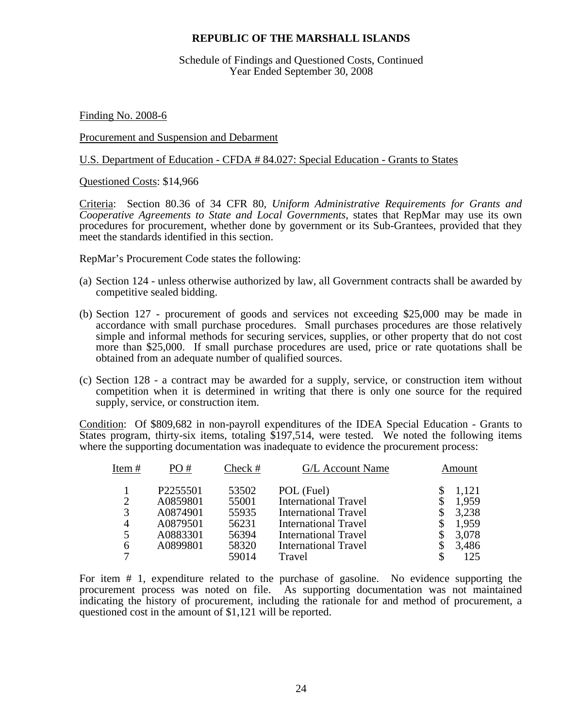Schedule of Findings and Questioned Costs, Continued Year Ended September 30, 2008

Finding No. 2008-6

#### Procurement and Suspension and Debarment

#### U.S. Department of Education - CFDA # 84.027: Special Education - Grants to States

Questioned Costs: \$14,966

Criteria: Section 80.36 of 34 CFR 80, *Uniform Administrative Requirements for Grants and Cooperative Agreements to State and Local Governments*, states that RepMar may use its own procedures for procurement, whether done by government or its Sub-Grantees, provided that they meet the standards identified in this section.

RepMar's Procurement Code states the following:

- (a) Section 124 unless otherwise authorized by law, all Government contracts shall be awarded by competitive sealed bidding.
- (b) Section 127 procurement of goods and services not exceeding \$25,000 may be made in accordance with small purchase procedures. Small purchases procedures are those relatively simple and informal methods for securing services, supplies, or other property that do not cost more than \$25,000. If small purchase procedures are used, price or rate quotations shall be obtained from an adequate number of qualified sources.
- (c) Section 128 a contract may be awarded for a supply, service, or construction item without competition when it is determined in writing that there is only one source for the required supply, service, or construction item.

Condition: Of \$809,682 in non-payroll expenditures of the IDEA Special Education - Grants to States program, thirty-six items, totaling \$197,514, were tested. We noted the following items where the supporting documentation was inadequate to evidence the procurement process:

| Item $#$                    | PO #     | $Check \#$ | G/L Account Name            | Amount      |
|-----------------------------|----------|------------|-----------------------------|-------------|
|                             | P2255501 | 53502      | POL (Fuel)                  | 1,121       |
| $\mathcal{D}_{\mathcal{L}}$ | A0859801 | 55001      | <b>International Travel</b> | 1,959       |
| 3                           | A0874901 | 55935      | <b>International Travel</b> | \$<br>3,238 |
| 4                           | A0879501 | 56231      | <b>International Travel</b> | \$<br>1.959 |
|                             | A0883301 | 56394      | <b>International Travel</b> | 3,078       |
| 6                           | A0899801 | 58320      | International Travel        | 3,486       |
|                             |          | 59014      | Travel                      | 125         |

For item # 1, expenditure related to the purchase of gasoline. No evidence supporting the procurement process was noted on file. As supporting documentation was not maintained indicating the history of procurement, including the rationale for and method of procurement, a questioned cost in the amount of \$1,121 will be reported.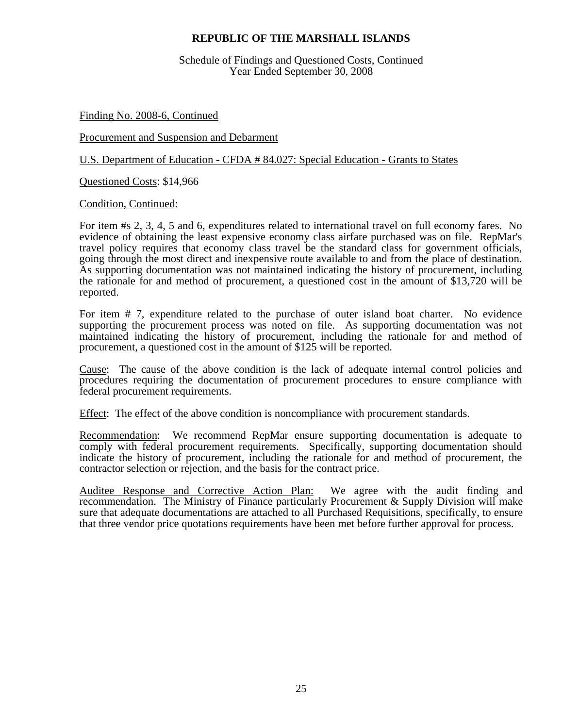Schedule of Findings and Questioned Costs, Continued Year Ended September 30, 2008

Finding No. 2008-6, Continued

Procurement and Suspension and Debarment

U.S. Department of Education - CFDA # 84.027: Special Education - Grants to States

Questioned Costs: \$14,966

Condition, Continued:

For item #s 2, 3, 4, 5 and 6, expenditures related to international travel on full economy fares. No evidence of obtaining the least expensive economy class airfare purchased was on file. RepMar's travel policy requires that economy class travel be the standard class for government officials, going through the most direct and inexpensive route available to and from the place of destination. As supporting documentation was not maintained indicating the history of procurement, including the rationale for and method of procurement, a questioned cost in the amount of \$13,720 will be reported.

For item # 7, expenditure related to the purchase of outer island boat charter. No evidence supporting the procurement process was noted on file. As supporting documentation was not maintained indicating the history of procurement, including the rationale for and method of procurement, a questioned cost in the amount of \$125 will be reported.

Cause: The cause of the above condition is the lack of adequate internal control policies and procedures requiring the documentation of procurement procedures to ensure compliance with federal procurement requirements.

Effect: The effect of the above condition is noncompliance with procurement standards.

Recommendation: We recommend RepMar ensure supporting documentation is adequate to comply with federal procurement requirements. Specifically, supporting documentation should indicate the history of procurement, including the rationale for and method of procurement, the contractor selection or rejection, and the basis for the contract price.

Auditee Response and Corrective Action Plan: We agree with the audit finding and recommendation. The Ministry of Finance particularly Procurement & Supply Division will make sure that adequate documentations are attached to all Purchased Requisitions, specifically, to ensure that three vendor price quotations requirements have been met before further approval for process.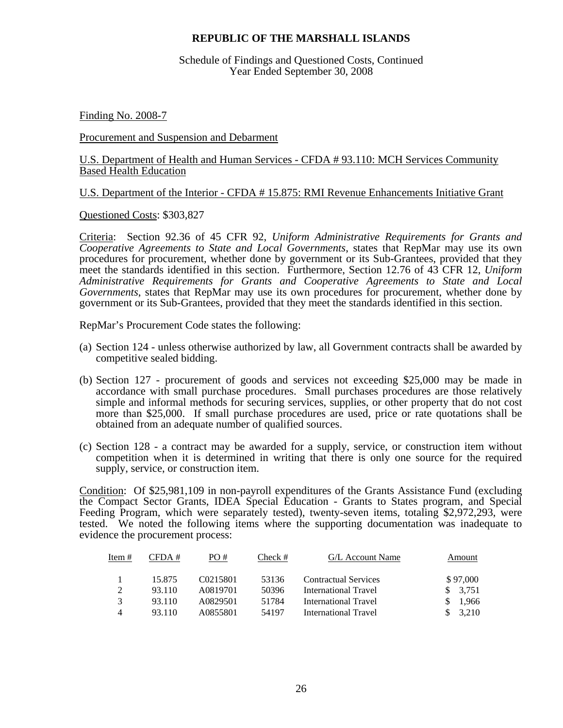Schedule of Findings and Questioned Costs, Continued Year Ended September 30, 2008

Finding No. 2008-7

#### Procurement and Suspension and Debarment

#### U.S. Department of Health and Human Services - CFDA # 93.110: MCH Services Community Based Health Education

#### U.S. Department of the Interior - CFDA # 15.875: RMI Revenue Enhancements Initiative Grant

Questioned Costs: \$303,827

Criteria: Section 92.36 of 45 CFR 92, *Uniform Administrative Requirements for Grants and Cooperative Agreements to State and Local Governments*, states that RepMar may use its own procedures for procurement, whether done by government or its Sub-Grantees, provided that they meet the standards identified in this section. Furthermore, Section 12.76 of 43 CFR 12, *Uniform Administrative Requirements for Grants and Cooperative Agreements to State and Local Governments*, states that RepMar may use its own procedures for procurement, whether done by government or its Sub-Grantees, provided that they meet the standards identified in this section.

RepMar's Procurement Code states the following:

- (a) Section 124 unless otherwise authorized by law, all Government contracts shall be awarded by competitive sealed bidding.
- (b) Section 127 procurement of goods and services not exceeding \$25,000 may be made in accordance with small purchase procedures. Small purchases procedures are those relatively simple and informal methods for securing services, supplies, or other property that do not cost more than \$25,000. If small purchase procedures are used, price or rate quotations shall be obtained from an adequate number of qualified sources.
- (c) Section 128 a contract may be awarded for a supply, service, or construction item without competition when it is determined in writing that there is only one source for the required supply, service, or construction item.

Condition: Of \$25,981,109 in non-payroll expenditures of the Grants Assistance Fund (excluding the Compact Sector Grants, IDEA Special Education - Grants to States program, and Special Feeding Program, which were separately tested), twenty-seven items, totaling \$2,972,293, were tested. We noted the following items where the supporting documentation was inadequate to evidence the procurement process:

| Item # | CFDA#  | PO#                  | Check # | G/L Account Name            | Amount   |
|--------|--------|----------------------|---------|-----------------------------|----------|
|        | 15.875 | C <sub>0215801</sub> | 53136   | <b>Contractual Services</b> | \$97,000 |
| ∍      | 93.110 | A0819701             | 50396   | International Travel        | 3,751    |
| 3      | 93.110 | A0829501             | 51784   | International Travel        | 1.966    |
| 4      | 93.110 | A0855801             | 54197   | International Travel        | 3.210    |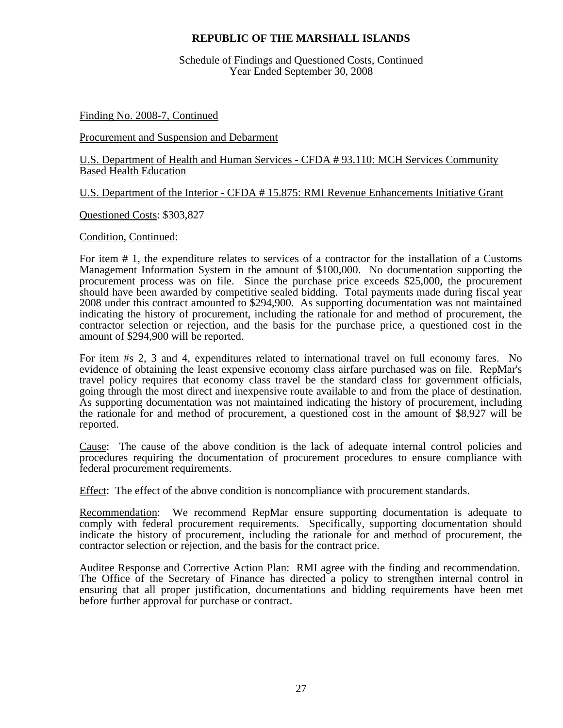Schedule of Findings and Questioned Costs, Continued Year Ended September 30, 2008

Finding No. 2008-7, Continued

Procurement and Suspension and Debarment

U.S. Department of Health and Human Services - CFDA # 93.110: MCH Services Community Based Health Education

U.S. Department of the Interior - CFDA # 15.875: RMI Revenue Enhancements Initiative Grant

Questioned Costs: \$303,827

Condition, Continued:

For item # 1, the expenditure relates to services of a contractor for the installation of a Customs Management Information System in the amount of \$100,000. No documentation supporting the procurement process was on file. Since the purchase price exceeds \$25,000, the procurement should have been awarded by competitive sealed bidding. Total payments made during fiscal year 2008 under this contract amounted to \$294,900. As supporting documentation was not maintained indicating the history of procurement, including the rationale for and method of procurement, the contractor selection or rejection, and the basis for the purchase price, a questioned cost in the amount of \$294,900 will be reported.

For item #s 2, 3 and 4, expenditures related to international travel on full economy fares. No evidence of obtaining the least expensive economy class airfare purchased was on file. RepMar's travel policy requires that economy class travel be the standard class for government officials, going through the most direct and inexpensive route available to and from the place of destination. As supporting documentation was not maintained indicating the history of procurement, including the rationale for and method of procurement, a questioned cost in the amount of \$8,927 will be reported.

Cause: The cause of the above condition is the lack of adequate internal control policies and procedures requiring the documentation of procurement procedures to ensure compliance with federal procurement requirements.

Effect: The effect of the above condition is noncompliance with procurement standards.

Recommendation: We recommend RepMar ensure supporting documentation is adequate to comply with federal procurement requirements. Specifically, supporting documentation should indicate the history of procurement, including the rationale for and method of procurement, the contractor selection or rejection, and the basis for the contract price.

Auditee Response and Corrective Action Plan: RMI agree with the finding and recommendation. The Office of the Secretary of Finance has directed a policy to strengthen internal control in ensuring that all proper justification, documentations and bidding requirements have been met before further approval for purchase or contract.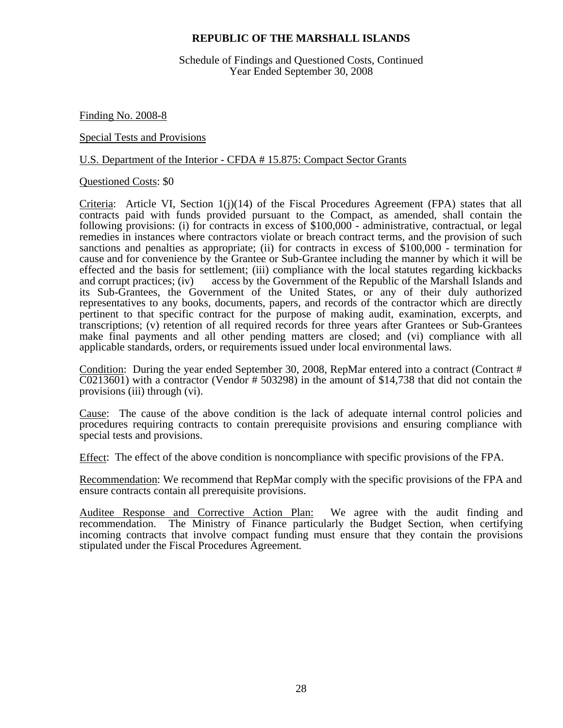Schedule of Findings and Questioned Costs, Continued Year Ended September 30, 2008

Finding No. 2008-8

Special Tests and Provisions

# U.S. Department of the Interior - CFDA # 15.875: Compact Sector Grants

#### Questioned Costs: \$0

Criteria: Article VI, Section  $1(j)(14)$  of the Fiscal Procedures Agreement (FPA) states that all contracts paid with funds provided pursuant to the Compact, as amended, shall contain the following provisions: (i) for contracts in excess of \$100,000 - administrative, contractual, or legal remedies in instances where contractors violate or breach contract terms, and the provision of such sanctions and penalties as appropriate; (ii) for contracts in excess of \$100,000 - termination for cause and for convenience by the Grantee or Sub-Grantee including the manner by which it will be effected and the basis for settlement; (iii) compliance with the local statutes regarding kickbacks and corrupt practices; (iv) access by the Government of the Republic of the Marshall Islands and its Sub-Grantees, the Government of the United States, or any of their duly authorized representatives to any books, documents, papers, and records of the contractor which are directly pertinent to that specific contract for the purpose of making audit, examination, excerpts, and transcriptions; (v) retention of all required records for three years after Grantees or Sub-Grantees make final payments and all other pending matters are closed; and (vi) compliance with all applicable standards, orders, or requirements issued under local environmental laws.

Condition: During the year ended September 30, 2008, RepMar entered into a contract (Contract # C0213601) with a contractor (Vendor # 503298) in the amount of \$14,738 that did not contain the provisions (iii) through (vi).

Cause: The cause of the above condition is the lack of adequate internal control policies and procedures requiring contracts to contain prerequisite provisions and ensuring compliance with special tests and provisions.

Effect: The effect of the above condition is noncompliance with specific provisions of the FPA.

Recommendation: We recommend that RepMar comply with the specific provisions of the FPA and ensure contracts contain all prerequisite provisions.

Auditee Response and Corrective Action Plan: We agree with the audit finding and recommendation. The Ministry of Finance particularly the Budget Section, when certifying incoming contracts that involve compact funding must ensure that they contain the provisions stipulated under the Fiscal Procedures Agreement*.*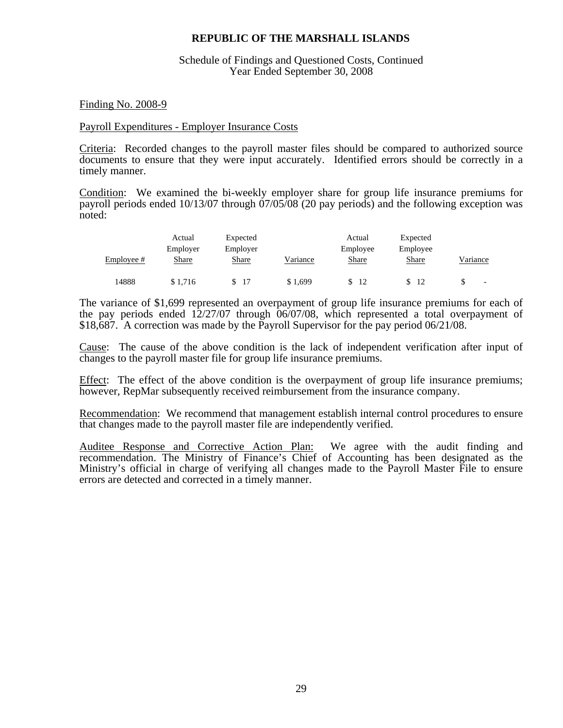#### Schedule of Findings and Questioned Costs, Continued Year Ended September 30, 2008

#### Finding No. 2008-9

## Payroll Expenditures - Employer Insurance Costs

Criteria: Recorded changes to the payroll master files should be compared to authorized source documents to ensure that they were input accurately. Identified errors should be correctly in a timely manner.

Condition: We examined the bi-weekly employer share for group life insurance premiums for payroll periods ended 10/13/07 through 07/05/08 (20 pay periods) and the following exception was noted:

|           | Actual   | Expected     |          | Actual   | Expected     |                          |
|-----------|----------|--------------|----------|----------|--------------|--------------------------|
|           | Employer | Employer     |          | Employee | Employee     |                          |
| Emplovee# | Share    | <b>Share</b> | Variance | Share    | <b>Share</b> | Variance                 |
| 14888     | \$1.716  | -17          | \$1,699  | -12      | 12           | $\overline{\phantom{0}}$ |

The variance of \$1,699 represented an overpayment of group life insurance premiums for each of the pay periods ended  $12/27/07$  through  $06/07/08$ , which represented a total overpayment of \$18,687. A correction was made by the Payroll Supervisor for the pay period 06/21/08.

Cause: The cause of the above condition is the lack of independent verification after input of changes to the payroll master file for group life insurance premiums.

Effect: The effect of the above condition is the overpayment of group life insurance premiums; however, RepMar subsequently received reimbursement from the insurance company.

Recommendation: We recommend that management establish internal control procedures to ensure that changes made to the payroll master file are independently verified.

Auditee Response and Corrective Action Plan: We agree with the audit finding and recommendation. The Ministry of Finance's Chief of Accounting has been designated as the Ministry's official in charge of verifying all changes made to the Payroll Master File to ensure errors are detected and corrected in a timely manner.